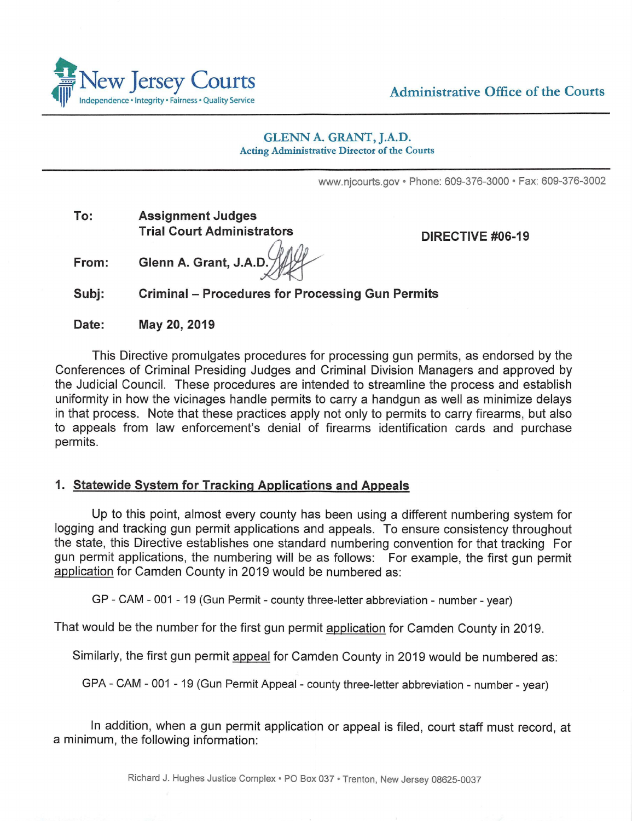

Administrative Office of the Courts

#### GLENN A. GRANT, J.A.D. Acting Administrative Director of the Courts

www.njcourts.gov • Phone: 609-376-3000 • Fax: 609-376-3002

**To: Assignment Judges Trial Court Administrators** 

**DIRECTIVE #06-19** 

**From: Glenn A. Grant, J.A.D** 

**Subj: Criminal - Procedures for Processing Gun Permits** 

**Date: May 20, 2019** 

This Directive promulgates procedures for processing gun permits, as endorsed by the Conferences of Criminal Presiding Judges and Criminal Division Managers and approved by the Judicial Council. These procedures are intended to streamline the process and establish uniformity in how the vicinages handle permits to carry a handgun as well as minimize delays in that process. Note that these practices apply not only to permits to carry firearms, but also to appeals from law enforcement's denial of firearms identification cards and purchase permits.

# **1. Statewide System for Tracking Applications and Appeals**

Up to this point, almost every county has been using a different numbering system for logging and tracking gun permit applications and appeals. To ensure consistency throughout the state, this Directive establishes one standard numbering convention for that tracking For gun permit applications, the numbering will be as follows: For example, the first gun permit application for Camden County in 2019 would be numbered as:

GP - CAM - 001 - 19 (Gun Permit - county three-letter abbreviation - number - year)

That would be the number for the first gun permit application for Camden County in 2019.

Similarly, the first gun permit appeal for Camden County in 2019 would be numbered as:

GPA - CAM - 001 - 19 (Gun Permit Appeal - county three-letter abbreviation - number - year)

In addition, when a gun permit application or appeal is filed, court staff must record, at a minimum, the following information: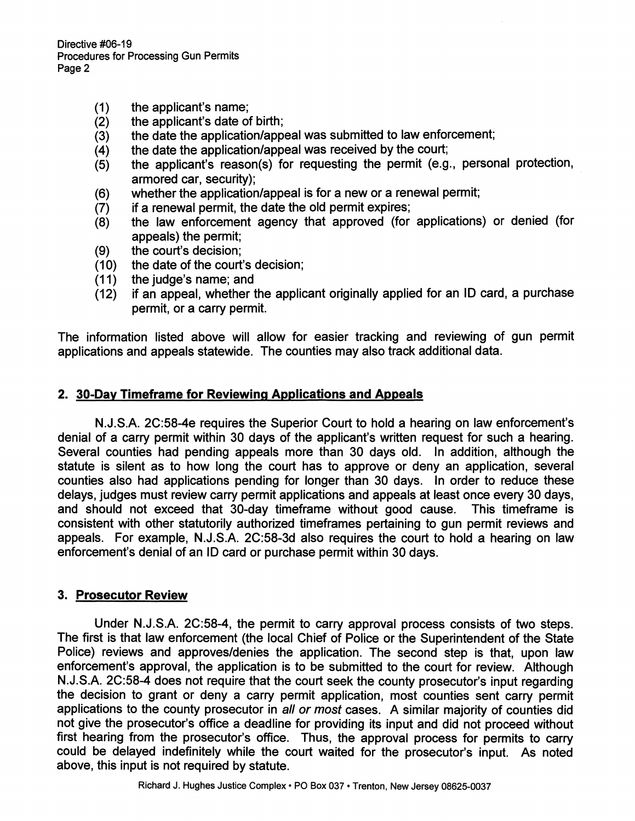Directive #06-19 Procedures for Processing Gun Permits Page 2

- (1) the applicant's name;
- (2) the applicant's date of birth;
- (3) the date the application/appeal was submitted to law enforcement;
- (4) the date the application/appeal was received by the court;
- (5) the applicant's reason(s) for requesting the permit (e.g., personal protection, armored car, security);
- (6) whether the application/appeal is for a new or a renewal permit;
- (7) if a renewal permit, the date the old permit expires;
- (8) the law enforcement agency that approved (for applications) or denied (for appeals) the permit;
- (9) the court's decision;
- (10) the date of the court's decision;
- (11) the judge's name; and
- (12) if an appeal, whether the applicant originally applied for an ID card, a purchase permit, or a carry permit.

The information listed above will allow for easier tracking and reviewing of gun permit applications and appeals statewide. The counties may also track additional data.

# **2. 30-Day Timeframe for Reviewing Applications and Appeals**

N.J.S.A. 2C:58-4e requires the Superior Court to hold a hearing on law enforcement's denial of a carry permit within 30 days of the applicant's written request for such a hearing. Several counties had pending appeals more than 30 days old. In addition, although the statute is silent as to how long the court has to approve or deny an application, several counties also had applications pending for longer than 30 days. In order to reduce these delays, judges must review carry permit applications and appeals at least once every 30 days, and should not exceed that 30-day timeframe without good cause. This timeframe is consistent with other statutorily authorized timeframes pertaining to gun permit reviews and appeals. For example, N.J.S.A. 2C:58-3d also requires the court to hold a hearing on law enforcement's denial of an ID card or purchase permit within 30 days.

#### **3. Prosecutor Review**

Under N.J.S.A. 2C:58-4, the permit to carry approval process consists of two steps. The first is that law enforcement (the local Chief of Police or the Superintendent of the State Police) reviews and approves/denies the application. The second step is that, upon law enforcement's approval, the application is to be submitted to the court for review. Although N.J.S.A. 2C:58-4 does not require that the court seek the county prosecutor's input regarding the decision to grant or deny a carry permit application, most counties sent carry permit applications to the county prosecutor in all or most cases. A similar majority of counties did not give the prosecutor's office a deadline for providing its input and did not proceed without first hearing from the prosecutor's office. Thus, the approval process for permits to carry could be delayed indefinitely while the court waited for the prosecutor's input. As noted above, this input is not required by statute.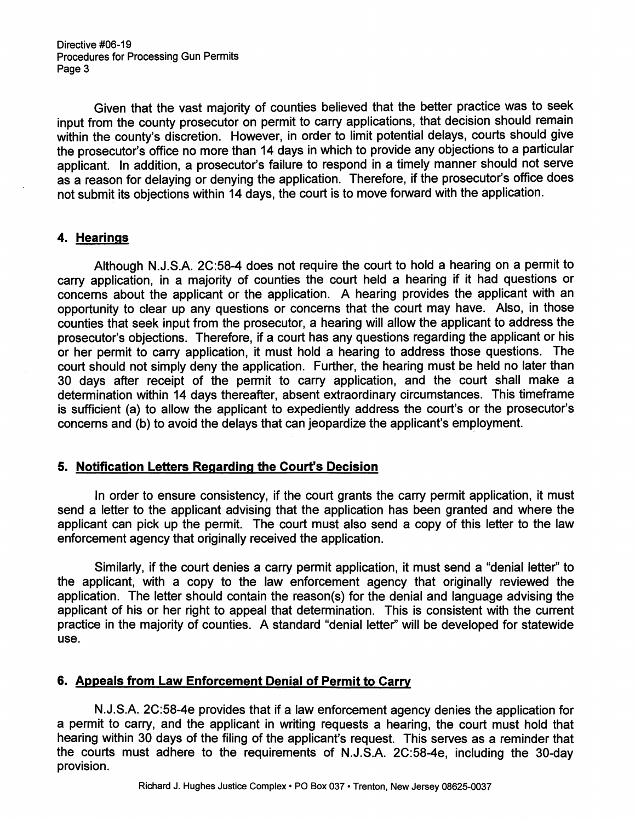Directive #06-19 Procedures for Processing Gun Permits Page 3

Given that the vast majority of counties believed that the better practice was to seek input from the county prosecutor on permit to carry applications, that decision should remain within the county's discretion. However, in order to limit potential delays, courts should give the prosecutor's office no more than 14 days in which to provide any objections to a particular applicant. In addition, a prosecutor's failure to respond in a timely manner should not serve as a reason for delaying or denying the application. Therefore, if the prosecutor's office does not submit its objections within 14 days, the court is to move forward with the application.

# **4. Hearings**

Although N.J.S.A. 2C:58-4 does not require the court to hold a hearing on a permit to carry application, in a majority of counties the court held a hearing if it had questions or concerns about the applicant or the application. A hearing provides the applicant with an opportunity to clear up any questions or concerns that the court may have. Also, in those counties that seek input from the prosecutor, a hearing will allow the applicant to address the prosecutor's objections. Therefore, if a court has any questions regarding the applicant or his or her permit to carry application, it must hold a hearing to address those questions. The court should not simply deny the application. Further, the hearing must be held no later than 30 days after receipt of the permit to carry application, and the court shall make a determination within 14 days thereafter, absent extraordinary circumstances. This timeframe is sufficient (a) to allow the applicant to expediently address the court's or the prosecutor's concerns and (b) to avoid the delays that can jeopardize the applicant's employment.

# **5. Notification Letters Regarding the Court's Decision**

In order to ensure consistency, if the court grants the carry permit application, it must send a letter to the applicant advising that the application has been granted and where the applicant can pick up the permit. The court must also send a copy of this letter to the law enforcement agency that originally received the application.

Similarly, if the court denies a carry permit application, it must send a "denial letter" to the applicant, with a copy to the law enforcement agency that originally reviewed the application. The letter should contain the reason(s) for the denial and language advising the applicant of his or her right to appeal that determination. This is consistent with the current practice in the majority of counties. A standard "denial letter'' will be developed for statewide use.

# **6. Appeals from Law Enforcement Denial of Permit to Carry**

N.J.S.A. 2C:58-4e provides that if a law enforcement agency denies the application for a permit to carry, and the applicant in writing requests a hearing, the court must hold that hearing within 30 days of the filing of the applicant's request. This serves as a reminder that the courts must adhere to the requirements of N.J.S.A. 2C:58-4e, including the 30-day provision.